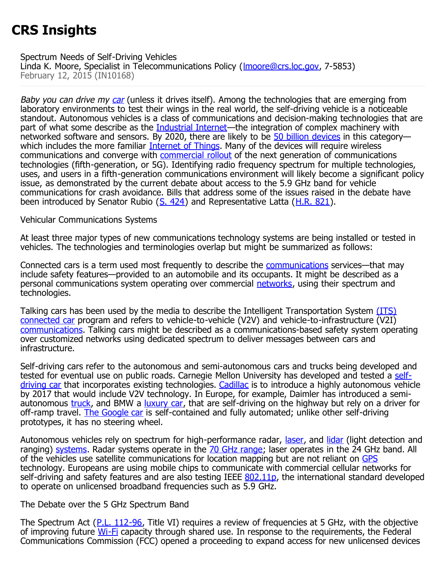# **CRS Insights**

#### Spectrum Needs of Self-Driving Vehicles

Linda K. Moore, Specialist in Telecommunications Policy ([lmoore@crs.loc.gov](mailto:lmoore@crs.loc.gov), 7-5853) February 12, 2015 (IN10168)

Baby you can drive my [car](http://www.youtube.com/watch?v=8Ts2U1mkfz4) (unless it drives itself). Among the technologies that are emerging from laboratory environments to test their wings in the real world, the self-driving vehicle is a noticeable standout. Autonomous vehicles is a class of communications and decision-making technologies that are part of what some describe as the **Industrial Internet**—the integration of complex machinery with networked software and sensors. By 2020, there are likely to be [50 billion devices](http://www.ft.com/intl/cms/s/0/9588e6ba-4aec-11e4-b1be-00144feab7de.html#axzz3FMh2Brov) in this category— which includes the more familiar [Internet of Things.](http://www.cisco.com/web/solutions/trends/iot/overview.html) Many of the devices will require wireless communications and converge with **commercial rollout** of the next generation of communications technologies (fifth-generation, or 5G). Identifying radio frequency spectrum for multiple technologies, uses, and users in a fifth-generation communications environment will likely become a significant policy issue, as demonstrated by the current debate about access to the 5.9 GHz band for vehicle communications for crash avoidance. Bills that address some of the issues raised in the debate have been introduced by Senator Rubio ( $S. 424$ ) and Representative Latta ( $H.R. 821$ ).

### Vehicular Communications Systems

At least three major types of new communications technology systems are being installed or tested in vehicles. The technologies and terminologies overlap but might be summarized as follows:

Connected cars is a term used most frequently to describe the [communications](http://www.spirent.com/Blogs/Networks/2014/October/Seven-connected-car-technologies) services—that may include safety features—provided to an automobile and its occupants. It might be described as a personal communications system operating over commercial [networks,](http://www.telecompetitor.com/report-finds-strong-intent-to-purchase-a-connected-car/) using their spectrum and technologies.

Talking cars has been used by the media to describe the Intelligent Transportation System [\(ITS\)](http://www.its.dot.gov/its_jpo.htm) [connected car](http://www.itsa.org/industryforums/connectedvehicle) program and refers to vehicle-to-vehicle (V2V) and vehicle-to-infrastructure (V2I) [communications.](http://www.bloomberg.com/news/2014-08-18/talking-car-plans-advance-as-u-s-says-lives-to-be-saved.html) Talking cars might be described as a communications-based safety system operating over customized networks using dedicated spectrum to deliver messages between cars and infrastructure.

Self-driving cars refer to the autonomous and semi-autonomous cars and trucks being developed and tested for eventual use on public roads. Carnegie Mellon University has developed and tested a [self](http://www.cmu.edu/news/stories/archives/2013/september/sept4_selfdrivingcar.html)[driving car](http://www.cmu.edu/news/stories/archives/2013/september/sept4_selfdrivingcar.html) that incorporates existing technologies. [Cadillac](http://media.gm.com/media/us/en/gm/news.detail.html/content/Pages/news/us/en/2014/Sep/0907-its-overview.html) is to introduce a highly autonomous vehicle by 2017 that would include V2V technology. In Europe, for example, Daimler has introduced a semiautonomous *truck*, and BMW a *[luxury car](http://www.cooperbmw.co.uk/news-bmw-and-the-future-of-self-driving-cars/)*, that are self-driving on the highway but rely on a driver for off-ramp travel. [The Google car](http://spectrum.ieee.org/automaton/robotics/artificial-intelligence/how-google-self-driving-car-works) is self-contained and fully automated; unlike other self-driving prototypes, it has no steering wheel.

Autonomous vehicles rely on spectrum for high-performance radar, [laser,](http://readwrite.com/2013/09/23/nissan-strategy-self-driving-vehicles-3d-laser-scanners) and [lidar](http://velodynelidar.com/lidar/hdlproducts/hdl64e.aspx) (light detection and ranging) [systems.](http://visual.ly/how-autonomous-vehicles-work) Radar systems operate in the [70 GHz range;](http://transition.fcc.gov/Daily_Releases/Daily_Business/2014/db1010/FCC-14-146A1.pdf) laser operates in the 24 GHz band. All of the vehicles use satellite communications for location mapping but are not reliant on [GPS](http://www.gps.gov/) technology. Europeans are using mobile chips to communicate with commercial cellular networks for self-driving and safety features and are also testing IEEE [802.11p,](http://www.ietf.org/mail-archive/web/its/current/pdfqf992dHy9x.pdf) the international standard developed to operate on unlicensed broadband frequencies such as 5.9 GHz.

## The Debate over the 5 GHz Spectrum Band

The Spectrum Act ([P.L. 112-96](http://www.congress.gov/cgi-lis/bdquery/R?d112:FLD002:@1%28112+96%29), Title VI) requires a review of frequencies at 5 GHz, with the objective of improving future [Wi-Fi](http://www.ieee.org/about/technologies/emerging/wifi.pdf) capacity through shared use. In response to the requirements, the Federal Communications Commission (FCC) opened a proceeding to expand access for new unlicensed devices